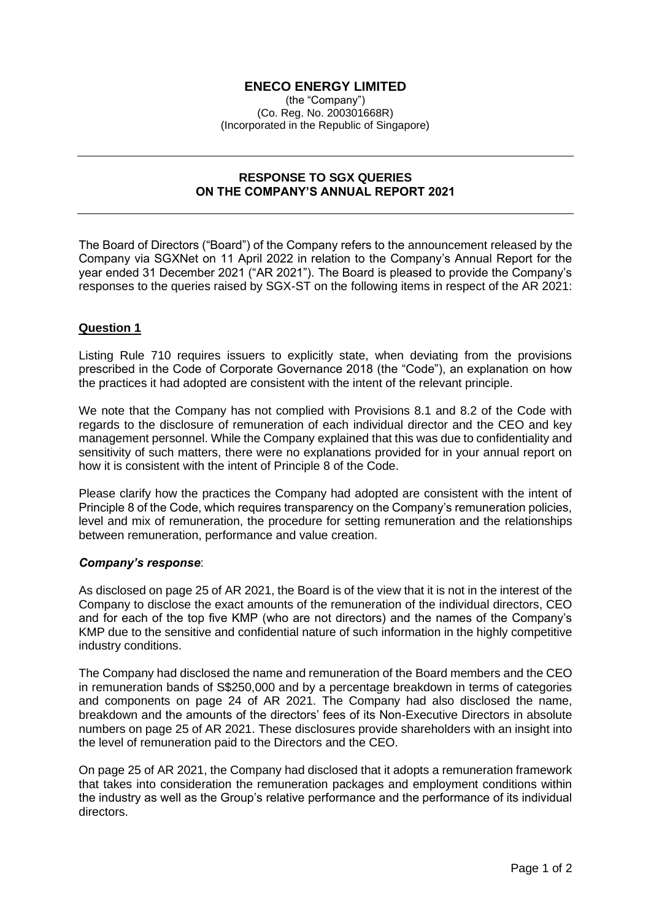# **ENECO ENERGY LIMITED**

(the "Company") (Co. Reg. No. 200301668R) (Incorporated in the Republic of Singapore)

### **RESPONSE TO SGX QUERIES ON THE COMPANY'S ANNUAL REPORT 2021**

The Board of Directors ("Board") of the Company refers to the announcement released by the Company via SGXNet on 11 April 2022 in relation to the Company's Annual Report for the year ended 31 December 2021 ("AR 2021"). The Board is pleased to provide the Company's responses to the queries raised by SGX-ST on the following items in respect of the AR 2021:

## **Question 1**

Listing Rule 710 requires issuers to explicitly state, when deviating from the provisions prescribed in the Code of Corporate Governance 2018 (the "Code"), an explanation on how the practices it had adopted are consistent with the intent of the relevant principle.

We note that the Company has not complied with Provisions 8.1 and 8.2 of the Code with regards to the disclosure of remuneration of each individual director and the CEO and key management personnel. While the Company explained that this was due to confidentiality and sensitivity of such matters, there were no explanations provided for in your annual report on how it is consistent with the intent of Principle 8 of the Code.

Please clarify how the practices the Company had adopted are consistent with the intent of Principle 8 of the Code, which requires transparency on the Company's remuneration policies, level and mix of remuneration, the procedure for setting remuneration and the relationships between remuneration, performance and value creation.

#### *Company's response*:

As disclosed on page 25 of AR 2021, the Board is of the view that it is not in the interest of the Company to disclose the exact amounts of the remuneration of the individual directors, CEO and for each of the top five KMP (who are not directors) and the names of the Company's KMP due to the sensitive and confidential nature of such information in the highly competitive industry conditions.

The Company had disclosed the name and remuneration of the Board members and the CEO in remuneration bands of S\$250,000 and by a percentage breakdown in terms of categories and components on page 24 of AR 2021. The Company had also disclosed the name, breakdown and the amounts of the directors' fees of its Non-Executive Directors in absolute numbers on page 25 of AR 2021. These disclosures provide shareholders with an insight into the level of remuneration paid to the Directors and the CEO.

On page 25 of AR 2021, the Company had disclosed that it adopts a remuneration framework that takes into consideration the remuneration packages and employment conditions within the industry as well as the Group's relative performance and the performance of its individual directors.